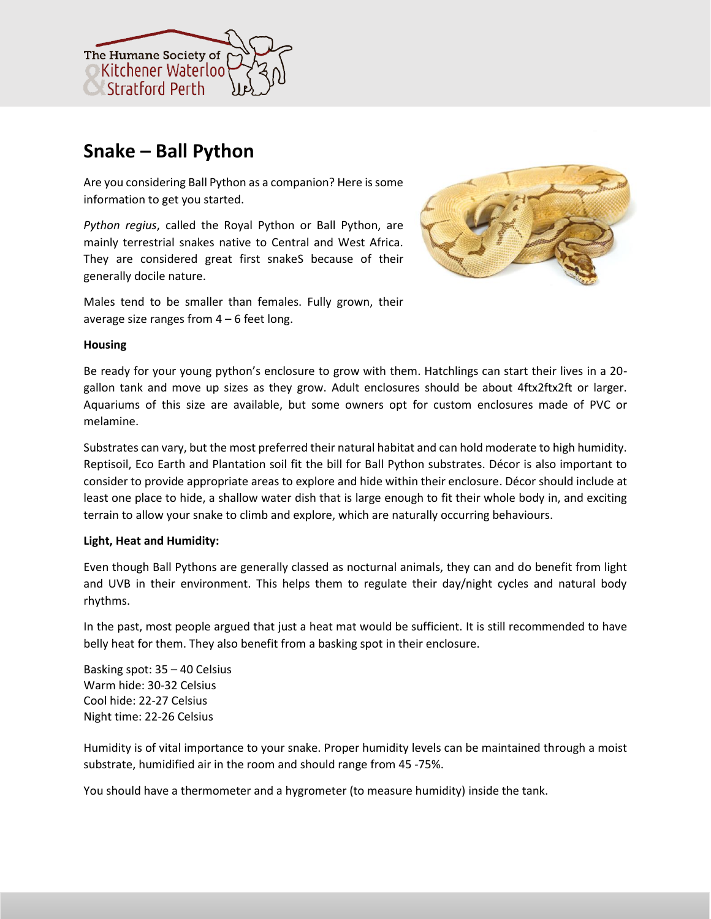

# **Snake – Ball Python**

Are you considering Ball Python as a companion? Here is some information to get you started.

*Python regius*, called the Royal Python or Ball Python, are mainly terrestrial snakes native to Central and West Africa. They are considered great first snakeS because of their generally docile nature.



Males tend to be smaller than females. Fully grown, their average size ranges from  $4 - 6$  feet long.

# **Housing**

Be ready for your young python's enclosure to grow with them. Hatchlings can start their lives in a 20 gallon tank and move up sizes as they grow. Adult enclosures should be about 4ftx2ftx2ft or larger. Aquariums of this size are available, but some owners opt for custom enclosures made of PVC or melamine.

Substrates can vary, but the most preferred their natural habitat and can hold moderate to high humidity. Reptisoil, Eco Earth and Plantation soil fit the bill for Ball Python substrates. Décor is also important to consider to provide appropriate areas to explore and hide within their enclosure. Décor should include at least one place to hide, a shallow water dish that is large enough to fit their whole body in, and exciting terrain to allow your snake to climb and explore, which are naturally occurring behaviours.

# **Light, Heat and Humidity:**

Even though Ball Pythons are generally classed as nocturnal animals, they can and do benefit from light and UVB in their environment. This helps them to regulate their day/night cycles and natural body rhythms.

In the past, most people argued that just a heat mat would be sufficient. It is still recommended to have belly heat for them. They also benefit from a basking spot in their enclosure.

Basking spot: 35 – 40 Celsius Warm hide: 30-32 Celsius Cool hide: 22-27 Celsius Night time: 22-26 Celsius

Humidity is of vital importance to your snake. Proper humidity levels can be maintained through a moist substrate, humidified air in the room and should range from 45 -75%.

You should have a thermometer and a hygrometer (to measure humidity) inside the tank.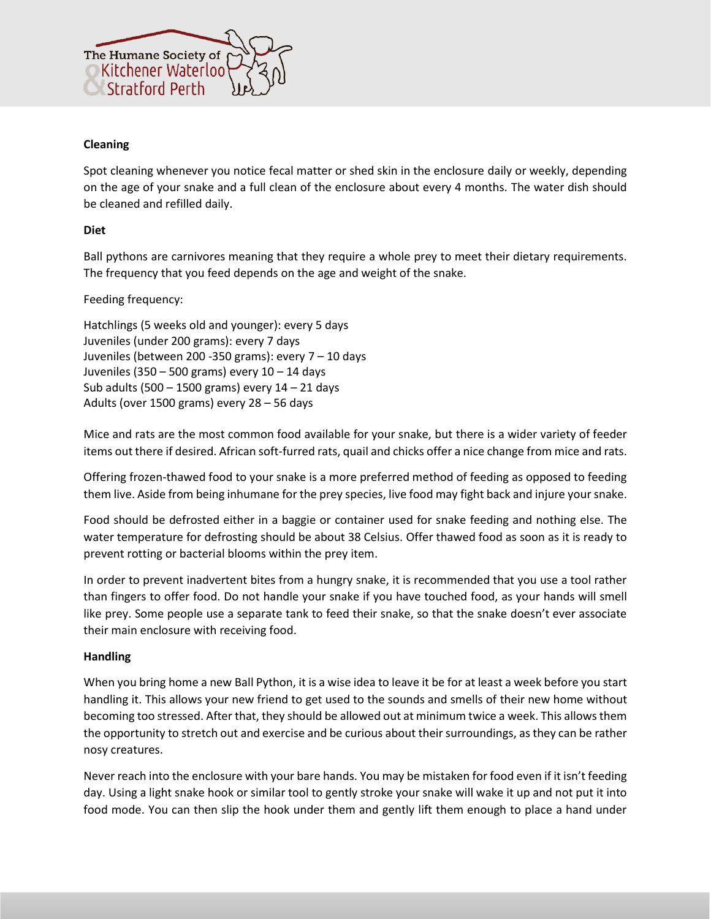

# **Cleaning**

Spot cleaning whenever you notice fecal matter or shed skin in the enclosure daily or weekly, depending on the age of your snake and a full clean of the enclosure about every 4 months. The water dish should be cleaned and refilled daily.

# **Diet**

Ball pythons are carnivores meaning that they require a whole prey to meet their dietary requirements. The frequency that you feed depends on the age and weight of the snake.

# Feeding frequency:

Hatchlings (5 weeks old and younger): every 5 days Juveniles (under 200 grams): every 7 days Juveniles (between 200 -350 grams): every 7 – 10 days Juveniles (350 – 500 grams) every 10 – 14 days Sub adults (500 – 1500 grams) every 14 – 21 days Adults (over 1500 grams) every 28 – 56 days

Mice and rats are the most common food available for your snake, but there is a wider variety of feeder items out there if desired. African soft-furred rats, quail and chicks offer a nice change from mice and rats.

Offering frozen-thawed food to your snake is a more preferred method of feeding as opposed to feeding them live. Aside from being inhumane for the prey species, live food may fight back and injure your snake.

Food should be defrosted either in a baggie or container used for snake feeding and nothing else. The water temperature for defrosting should be about 38 Celsius. Offer thawed food as soon as it is ready to prevent rotting or bacterial blooms within the prey item.

In order to prevent inadvertent bites from a hungry snake, it is recommended that you use a tool rather than fingers to offer food. Do not handle your snake if you have touched food, as your hands will smell like prey. Some people use a separate tank to feed their snake, so that the snake doesn't ever associate their main enclosure with receiving food.

#### **Handling**

When you bring home a new Ball Python, it is a wise idea to leave it be for at least a week before you start handling it. This allows your new friend to get used to the sounds and smells of their new home without becoming too stressed. After that, they should be allowed out at minimum twice a week. This allows them the opportunity to stretch out and exercise and be curious about their surroundings, as they can be rather nosy creatures.

Never reach into the enclosure with your bare hands. You may be mistaken for food even if it isn't feeding day. Using a light snake hook or similar tool to gently stroke your snake will wake it up and not put it into food mode. You can then slip the hook under them and gently lift them enough to place a hand under